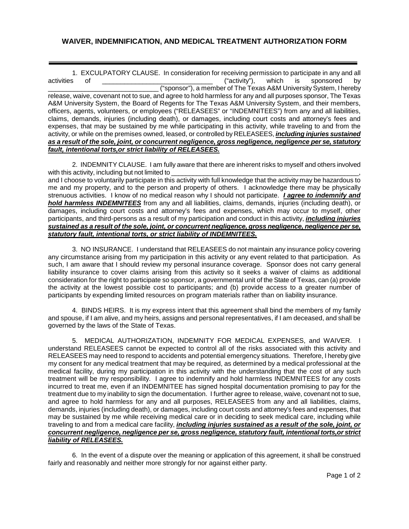## **WAIVER, INDEMNIFICATION, AND MEDICAL TREATMENT AUTHORIZATION FORM**

1. EXCULPATORY CLAUSE. In consideration for receiving permission to participate in any and all activities of the activities of the consideration for receiving permission to participate in any and all activities of by activities of \_\_\_\_\_\_\_\_\_\_\_\_\_\_\_\_\_\_\_\_\_\_\_\_\_\_\_\_\_\_ ("activity"), which is sponsored by \_\_\_\_\_\_\_\_\_\_\_\_\_\_\_\_\_\_\_\_\_\_\_\_\_\_\_\_\_\_ ("sponsor"), a member of The Texas A&M University System, I hereby release, waive, covenant not to sue, and agree to hold harmless for any and all purposes sponsor, The Texas A&M University System, the Board of Regents for The Texas A&M University System, and their members, officers, agents, volunteers, or employees ("RELEASEES" or "INDEMNITEES") from any and all liabilities, claims, demands, injuries (including death), or damages, including court costs and attorney's fees and expenses, that may be sustained by me while participating in this activity, while traveling to and from the activity, or while on the premises owned, leased, or controlled by RELEASEES, *including injuries sustained as a result of the sole, joint, or concurrent negligence, gross negligence, negligence per se, statutory fault, intentional torts,or strict liability of RELEASEES.*

2. INDEMNITY CLAUSE. I am fully aware that there are inherent risks to myself and others involved with this activity, including but not limited to and I choose to voluntarily participate in this activity with full knowledge that the activity may be hazardous to

me and my property, and to the person and property of others. I acknowledge there may be physically strenuous activities. I know of no medical reason why I should not participate. *I agree to indemnify and hold harmless INDEMNITEES* from any and all liabilities, claims, demands, injuries (including death), or damages, including court costs and attorney's fees and expenses, which may occur to myself, other participants, and third-persons as a result of my participation and conduct in this activity, *including injuries sustained as a result of the sole, joint, or concurrent negligence, gross negligence, negligence per se, statutory fault, intentional torts, or strict liability of INDEMNITEES.* 

3. NO INSURANCE. I understand that RELEASEES do not maintain any insurance policy covering any circumstance arising from my participation in this activity or any event related to that participation. As such, I am aware that I should review my personal insurance coverage. Sponsor does not carry general liability insurance to cover claims arising from this activity so it seeks a waiver of claims as additional consideration for the right to participate so sponsor, a governmental unit of the State of Texas, can (a) provide the activity at the lowest possible cost to participants; and (b) provide access to a greater number of participants by expending limited resources on program materials rather than on liability insurance.

4. BINDS HEIRS. It is my express intent that this agreement shall bind the members of my family and spouse, if I am alive, and my heirs, assigns and personal representatives, if I am deceased, and shall be governed by the laws of the State of Texas.

5. MEDICAL AUTHORIZATION, INDEMNITY FOR MEDICAL EXPENSES, and WAIVER. I understand RELEASEES cannot be expected to control all of the risks associated with this activity and RELEASEES may need to respond to accidents and potential emergency situations. Therefore, I hereby give my consent for any medical treatment that may be required, as determined by a medical professional at the medical facility, during my participation in this activity with the understanding that the cost of any such treatment will be my responsibility. I agree to indemnify and hold harmless INDEMNITEES for any costs incurred to treat me, even if an INDEMNITEE has signed hospital documentation promising to pay for the treatment due to my inability to sign the documentation. I further agree to release, waive, covenant not to sue, and agree to hold harmless for any and all purposes, RELEASEES from any and all liabilities, claims, demands, injuries (including death), or damages, including court costs and attorney's fees and expenses, that may be sustained by me while receiving medical care or in deciding to seek medical care, including while traveling to and from a medical care facility, *including injuries sustained as a result of the sole, joint, or concurrent negligence, negligence per se, gross negligence, statutory fault, intentional torts,or strict liability of RELEASEES.*

6. In the event of a dispute over the meaning or application of this agreement, it shall be construed fairly and reasonably and neither more strongly for nor against either party.